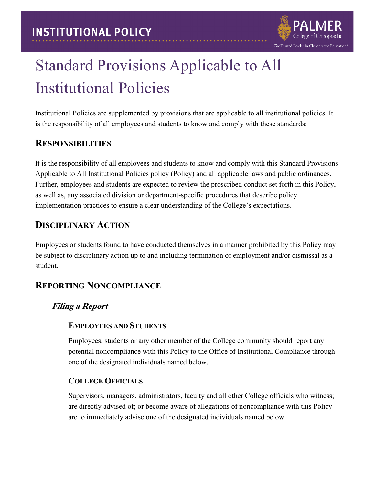

# Standard Provisions Applicable to All Institutional Policies

Institutional Policies are supplemented by provisions that are applicable to all institutional policies. It is the responsibility of all employees and students to know and comply with these standards:

#### **RESPONSIBILITIES**

It is the responsibility of all employees and students to know and comply with this Standard Provisions Applicable to All Institutional Policies policy (Policy) and all applicable laws and public ordinances. Further, employees and students are expected to review the proscribed conduct set forth in this Policy, as well as, any associated division or department-specific procedures that describe policy implementation practices to ensure a clear understanding of the College's expectations.

### **DISCIPLINARY ACTION**

Employees or students found to have conducted themselves in a manner prohibited by this Policy may be subject to disciplinary action up to and including termination of employment and/or dismissal as a student.

### **REPORTING NONCOMPLIANCE**

#### **Filing a Report**

#### **EMPLOYEES AND STUDENTS**

Employees, students or any other member of the College community should report any potential noncompliance with this Policy to the Office of Institutional Compliance through one of the designated individuals named below.

#### **COLLEGE OFFICIALS**

Supervisors, managers, administrators, faculty and all other College officials who witness; are directly advised of; or become aware of allegations of noncompliance with this Policy are to immediately advise one of the designated individuals named below.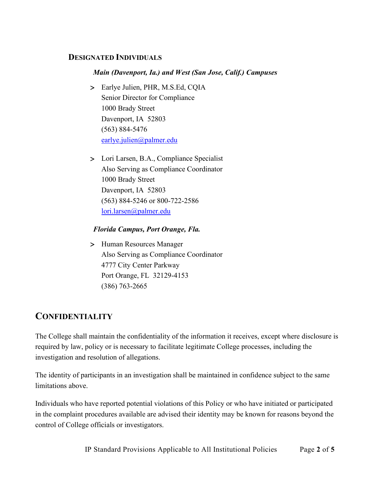#### **DESIGNATED INDIVIDUALS**

#### *Main (Davenport, Ia.) and West (San Jose, Calif.) Campuses*

- > Earlye Julien, PHR, M.S.Ed, CQIA Senior Director for Compliance 1000 Brady Street Davenport, IA 52803 (563) 884-5476 [earlye.julien@palmer.edu](mailto:earlye.julien@palmer.edu)
- > Lori Larsen, B.A., Compliance Specialist Also Serving as Compliance Coordinator 1000 Brady Street Davenport, IA 52803 (563) 884-5246 or 800-722-2586 [lori.larsen@palmer.edu](mailto:lori.larsen@palmer.edu)

#### *Florida Campus, Port Orange, Fla.*

> Human Resources Manager Also Serving as Compliance Coordinator 4777 City Center Parkway Port Orange, FL 32129-4153 (386) 763-2665

#### **CONFIDENTIALITY**

The College shall maintain the confidentiality of the information it receives, except where disclosure is required by law, policy or is necessary to facilitate legitimate College processes, including the investigation and resolution of allegations.

The identity of participants in an investigation shall be maintained in confidence subject to the same limitations above.

Individuals who have reported potential violations of this Policy or who have initiated or participated in the complaint procedures available are advised their identity may be known for reasons beyond the control of College officials or investigators.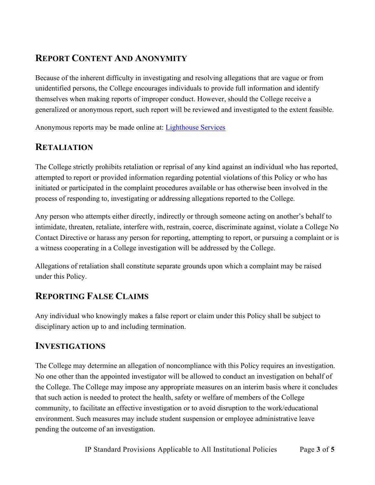## **REPORT CONTENT AND ANONYMITY**

Because of the inherent difficulty in investigating and resolving allegations that are vague or from unidentified persons, the College encourages individuals to provide full information and identify themselves when making reports of improper conduct. However, should the College receive a generalized or anonymous report, such report will be reviewed and investigated to the extent feasible.

Anonymous reports may be made online at: [Lighthouse Services](http://www.lighthouse-services.com/palmer) 

### **RETALIATION**

The College strictly prohibits retaliation or reprisal of any kind against an individual who has reported, attempted to report or provided information regarding potential violations of this Policy or who has initiated or participated in the complaint procedures available or has otherwise been involved in the process of responding to, investigating or addressing allegations reported to the College.

Any person who attempts either directly, indirectly or through someone acting on another's behalf to intimidate, threaten, retaliate, interfere with, restrain, coerce, discriminate against, violate a College No Contact Directive or harass any person for reporting, attempting to report, or pursuing a complaint or is a witness cooperating in a College investigation will be addressed by the College.

Allegations of retaliation shall constitute separate grounds upon which a complaint may be raised under this Policy.

### **REPORTING FALSE CLAIMS**

Any individual who knowingly makes a false report or claim under this Policy shall be subject to disciplinary action up to and including termination.

#### **INVESTIGATIONS**

The College may determine an allegation of noncompliance with this Policy requires an investigation. No one other than the appointed investigator will be allowed to conduct an investigation on behalf of the College. The College may impose any appropriate measures on an interim basis where it concludes that such action is needed to protect the health, safety or welfare of members of the College community, to facilitate an effective investigation or to avoid disruption to the work/educational environment. Such measures may include student suspension or employee administrative leave pending the outcome of an investigation.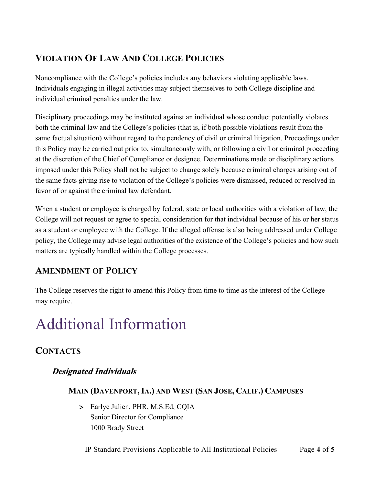## **VIOLATION OF LAW AND COLLEGE POLICIES**

Noncompliance with the College's policies includes any behaviors violating applicable laws. Individuals engaging in illegal activities may subject themselves to both College discipline and individual criminal penalties under the law.

Disciplinary proceedings may be instituted against an individual whose conduct potentially violates both the criminal law and the College's policies (that is, if both possible violations result from the same factual situation) without regard to the pendency of civil or criminal litigation. Proceedings under this Policy may be carried out prior to, simultaneously with, or following a civil or criminal proceeding at the discretion of the Chief of Compliance or designee. Determinations made or disciplinary actions imposed under this Policy shall not be subject to change solely because criminal charges arising out of the same facts giving rise to violation of the College's policies were dismissed, reduced or resolved in favor of or against the criminal law defendant.

When a student or employee is charged by federal, state or local authorities with a violation of law, the College will not request or agree to special consideration for that individual because of his or her status as a student or employee with the College. If the alleged offense is also being addressed under College policy, the College may advise legal authorities of the existence of the College's policies and how such matters are typically handled within the College processes.

## **AMENDMENT OF POLICY**

The College reserves the right to amend this Policy from time to time as the interest of the College may require.

## Additional Information

## **CONTACTS**

### **Designated Individuals**

#### **MAIN (DAVENPORT,IA.) AND WEST (SAN JOSE, CALIF.) CAMPUSES**

> Earlye Julien, PHR, M.S.Ed, CQIA Senior Director for Compliance 1000 Brady Street

IP Standard Provisions Applicable to All Institutional Policies Page **4** of **5**